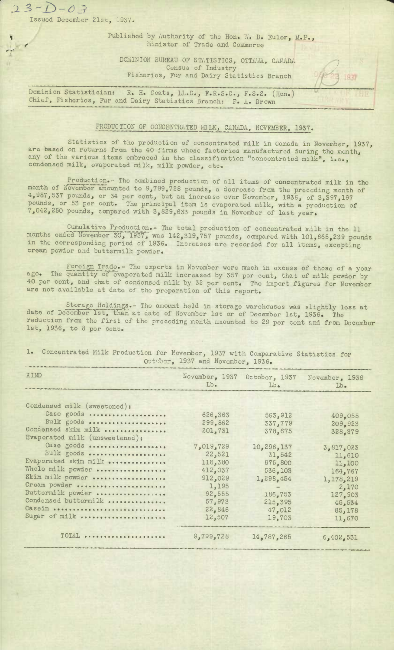Issued December 21st, 1937.

 $23 - D - 03$ 

Published by Authority of the Hon. W. D. Euler, M.P., Minister of Trade and Commerce

DOMINION BUREAU OF STATISTICS, OTTAWA, CANADA Census of Industry Fisheries, Fur and Dairy Statistics Branch

*I* 

937

Dominion Statistician: R. H. Coats, LL.D., F.R.S.C., F.S.S. (Hon.) Chief, Fisheries, Fur and Dairy Statistics Branch: *F.* .. Brown

## PRODUCTION OF CONCENTRATED MILK, CANADA, NOVEMBER, 1937.

Statistics of the production of concentrated milk in Canada in November, 1937, are based on returns from the 40 firms vhose factorios manufactured during the month, any of the various items embraced in the classification "concentrated milk", i.e., condensed milk, ovaporatod milk, milk powder, etc.

Production.- The combined production of all items of concentrated milk in the month of Novomber amounted to 9,799,728 pounds, a decreaso from the preceding month of 4,987,537 pounds, or 34 per cent, but an increase over November, 1936, of 3,397,197 pounds, or 53 per cent. The principal item is evaporated milk, with a production of  $7,042,250$  pounds, compared with  $3,829,633$  pounds in November of last year.

Cumulative Production.- The total production of ooncentratod milk in the 11 months ended November 30, 1937, was 142,319,757 pounds, compared with 101,665,239 pounds in the corrosponding period of 1936. Incroasos are recorded for all items, excepting cream powder and buttermilk powder.

Foreign Trade.- The exports in November were much in excess of those of a year ago. The quantity of evaporated milk increased by 357 por cent, that of milk powder by 40 per cent, and that of condensed milk by 32 per cent. The import figures for Novembor are not availablo at date of the preparation of this report.

Storago Holdings.- The amount hold in storage warehouses was slightly less at date of December 1st, than at date of November 1st or of December 1st, 1936. The reduction from the first of the preceding month amounted to 29 per cent and from December 1st, 1936, to 8 per cent.

| KIND                                                                                                                                                                                                                                                                                 | Lb.                                                                                                                          | $Lb$ .                                                                                                                   | November, 1937 October, 1937 November, 1936<br>$Lb$ .                                                                          |
|--------------------------------------------------------------------------------------------------------------------------------------------------------------------------------------------------------------------------------------------------------------------------------------|------------------------------------------------------------------------------------------------------------------------------|--------------------------------------------------------------------------------------------------------------------------|--------------------------------------------------------------------------------------------------------------------------------|
| Condensed milk (sweetcned):<br>Case goods<br>Bulk goods<br>Condensed skim milk<br>Evaporated milk (unsweetened):<br>Case goods<br>Bulk goods<br>Evaporated skim milk<br>Whole milk powder<br>Skim milk powder<br>Cream powder<br>Buttormilk powder<br>Condensed buttermilk<br>Casein | 626,363<br>299,862<br>201,731<br>7,019,729<br>22,521<br>118,380<br>412,037<br>912,029<br>1,195<br>92,555<br>57,973<br>22,846 | 563,912<br>337,779<br>378,675<br>10,296,137<br>31,542<br>875,800<br>536,103<br>1,298,454<br>186,753<br>215,395<br>47,012 | 409,055<br>209,923<br>328,379<br>3,817,023<br>11,610<br>11,100<br>164,767<br>1,178,219<br>2,170<br>127,903<br>45,534<br>85,178 |
| Sugar of milk                                                                                                                                                                                                                                                                        | 12,507                                                                                                                       | 19,703                                                                                                                   | 11,670                                                                                                                         |
| TOTAL                                                                                                                                                                                                                                                                                | 9,799,728                                                                                                                    | 14,787,265                                                                                                               | 6,402,531                                                                                                                      |

1. Concentrated Milk Production for Novembor, 1937 with Comparative Statistics for Ostobor, 1937 and November, 1936.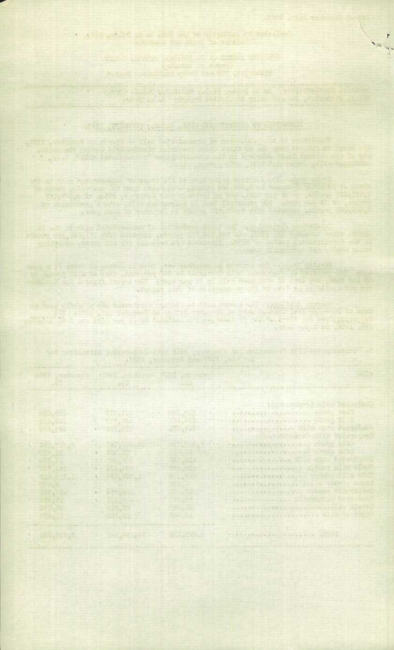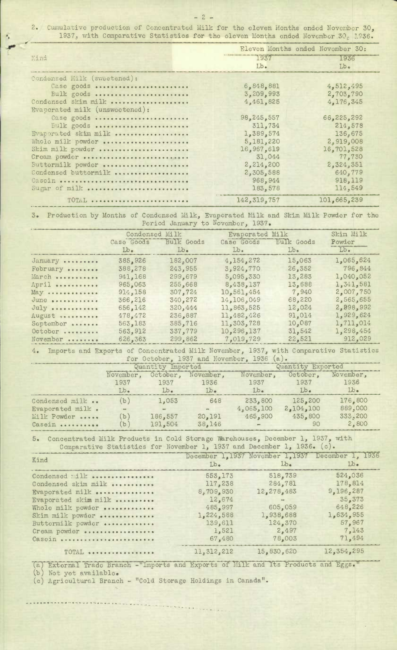Cumulative production of Concentrated Milk for the eleven Months ended November 30, 1937, with Comparative Statistics for the oleven Months endod November 30. 1936.

|                                | Eleven Months onded November 30: |                 |
|--------------------------------|----------------------------------|-----------------|
| Kind                           | 1937                             | 1936            |
|                                | Lb.                              | Lb <sub>o</sub> |
| Condensed Milk (sweetened):    |                                  |                 |
| Case goods                     | 6,848,881                        | 4,512,495       |
| Bulk goods                     | 3,209,993                        | 2,703,790       |
| Condonsed skim milk            | 4,461,825                        | 4, 176, 345     |
| Evaporated milk (unsweetened): |                                  |                 |
| Case goods                     | 98, 245, 557                     | 66,225,292      |
| Bulk goods                     | 311,734                          | 214,578         |
| Evaporated skim milk           | 1,389,574                        | 136,675         |
| Whole milk powder              | 5,181,220                        | 2,919,008       |
| Skim milk powder               | 16,967,619                       | 16,701,528      |
| Cream powder                   | 31,044                           | 77,730          |
| Buttermilk powder              | 2,214,200                        | 2,324,351       |
| Condensed buttormilk           | 2,305,588                        | 640,779         |
| Casein                         | 968,944                          | 918,119         |
| Sugar of milk                  | 183,578                          | 114,549         |
| TOTAL                          | 142,319,757                      | 101,665,239     |

 $3.5$ Production by Months of Condensed Milk, Evaporated Milk and Skim Milk Powder for the Period January to Novomber, 1937.

|                        | Condensed Milk |                       | Evaporated Milk | Skim Milk             |           |
|------------------------|----------------|-----------------------|-----------------|-----------------------|-----------|
|                        |                | Case Goods Bulk Goods |                 | Case Goods Eulk Goods | Powder    |
|                        |                | $Lb$ . $Lb$ .         |                 | $Lb.$ $Lb.$           | Lb.       |
| January                | 385,926        | 182,007               | 4, 154, 272     | 15,063                | 1,065,624 |
| February               | 388,278        | 243,955               | 3,924,770       | 26,352                | 796,844   |
| March                  | 941,168        | 299.679               | 5,095,330       | 13,283                | 1,040,052 |
| April                  | 965,063        | 255,668               | 8,438,137       | 13,688                | 1,341,581 |
| May                    | 914,158        | 307,724               | 10,561,454      | 7,940                 | 2,007,750 |
| June <i>secondence</i> | 366,216        | 340,272               | 14, 106, 049    | 68,220                | 2,565,655 |
| July $$                | 656,142        | 320,444               | 11,863,525      | 12,024                | 2,898,992 |
| August sessessess      | 478, 472       | 236,887               | 11,482,426      | 91.014                | 1,929,624 |
| Soptember              | 563,183        | 385,716               | 11,303,728      | 10,087                | 1,711,014 |
| October                | 563,912        | 337,779               | 10,296,137      | 31,542                | 1,298,454 |
| November               | 626,363        | 299,862               | 7,019,729       | 22,521                | 912,029   |

Imports and Exports of Concentrated Milk November, 1937, with Comparative Statistics  $4.$ for October, 1937 and November, 1936 (a).

|                  | Quantity Imported            |         |              | Quantity Exported |           |           |
|------------------|------------------------------|---------|--------------|-------------------|-----------|-----------|
|                  | November, October, November, |         |              | November,         | October,  | November, |
|                  | 1937                         | 1937    | 1936         | 1937              | 1937      | 1936      |
|                  | $Lb$ .                       | $Lb -$  | $1b -$       | $Lb$ .            | $Lb$ .    | $Lb$ .    |
| Condensed milk   | (b)                          | 1,053   | 648          | 233,800           | 125,200   | 176,800   |
| Evaporated milk. |                              | ner.    | and the con- | 4,065,100         | 2,104,100 | 889,000   |
| Milk Powder      | (b)                          | 186,557 | 20,191       | 465,900           | 435,800   | 333,200   |
| Casein           | (b)                          | 191.504 | 38,146       |                   | 90        | 2,800     |

 $5.$ Concentrated Milk Products in Cold Storage Warehouses, December 1, 1937, with Comparative Statistics for November 1, 1937 and December 1, 1936. (c).

| Kind                     | $Lb$ .       | $Lb$ .                                                                                         | December 1,1937 November 1,1937 December 1, 1936<br>$Lb$ . |
|--------------------------|--------------|------------------------------------------------------------------------------------------------|------------------------------------------------------------|
| Condensed milk           | 553.173      | 518,739                                                                                        | 524,036                                                    |
| Condensed skim milk      | 117,238      | 284,781                                                                                        | 178,814                                                    |
| Evaporated milk          | 8,709,930    | 12,278,483                                                                                     | 9,196,287                                                  |
| Evaporated skim milk     | 12,674       | $\frac{1}{2} \left( \frac{1}{2} \right) \left( \frac{1}{2} \right) \left( \frac{1}{2} \right)$ | 35.373                                                     |
| Whole milk powder        | 485,997      | 605,059                                                                                        | 648,226                                                    |
| Skim milk powder         | 1,224,588    | 1,938,688                                                                                      | 1,634,955                                                  |
| Buttormilk powder        | 139,611      | 124,370                                                                                        | 57,967                                                     |
| Cream powder             | 1,521        | 2,497                                                                                          | 7,143                                                      |
| Casein                   | 67,480       | 78,003                                                                                         | 71,494                                                     |
| TOTAL ****************** | 11, 312, 212 | 15,830,620                                                                                     | 12,354,295                                                 |

(a) External Trade Branch -"Imports and Exports of Milk and Its Products and Eggs."

(b) Not yet available.

 $\frac{1}{\alpha}$ 

(a) Agricultural Branch - "Cold Storage Holdings in Canada".